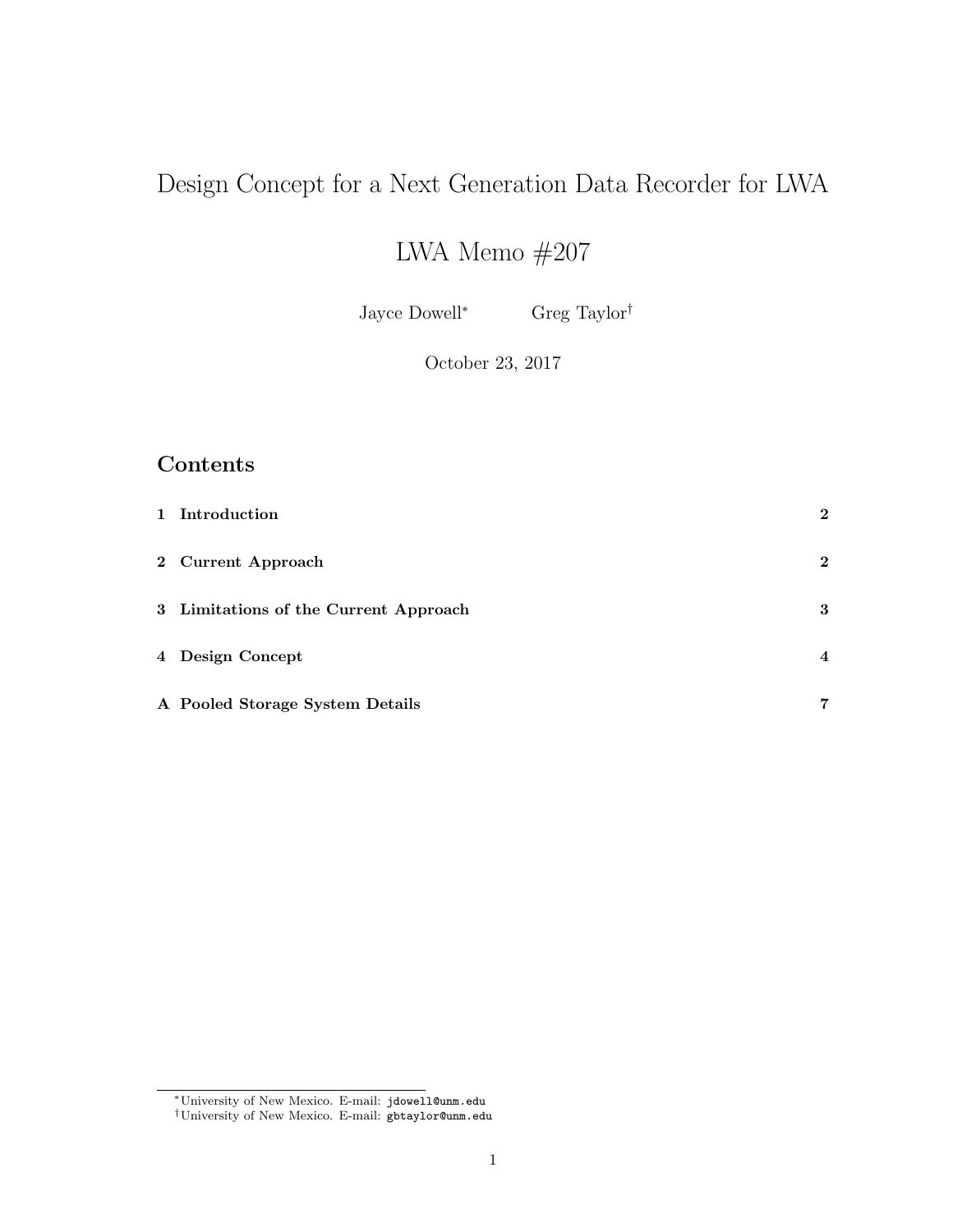# Design Concept for a Next Generation Data Recorder for LWA

# LWA Memo $\#207$

Jayce Dowell<sup>∗</sup> Greg Taylor†

October 23, 2017

## Contents

| 1 Introduction                        | $\mathbf{2}$   |
|---------------------------------------|----------------|
| 2 Current Approach                    | $\mathbf{2}$   |
| 3 Limitations of the Current Approach | 3              |
| 4 Design Concept                      | $\overline{4}$ |
| A Pooled Storage System Details       | $\overline{7}$ |

<sup>∗</sup>University of New Mexico. E-mail: jdowell@unm.edu

<sup>†</sup>University of New Mexico. E-mail: gbtaylor@unm.edu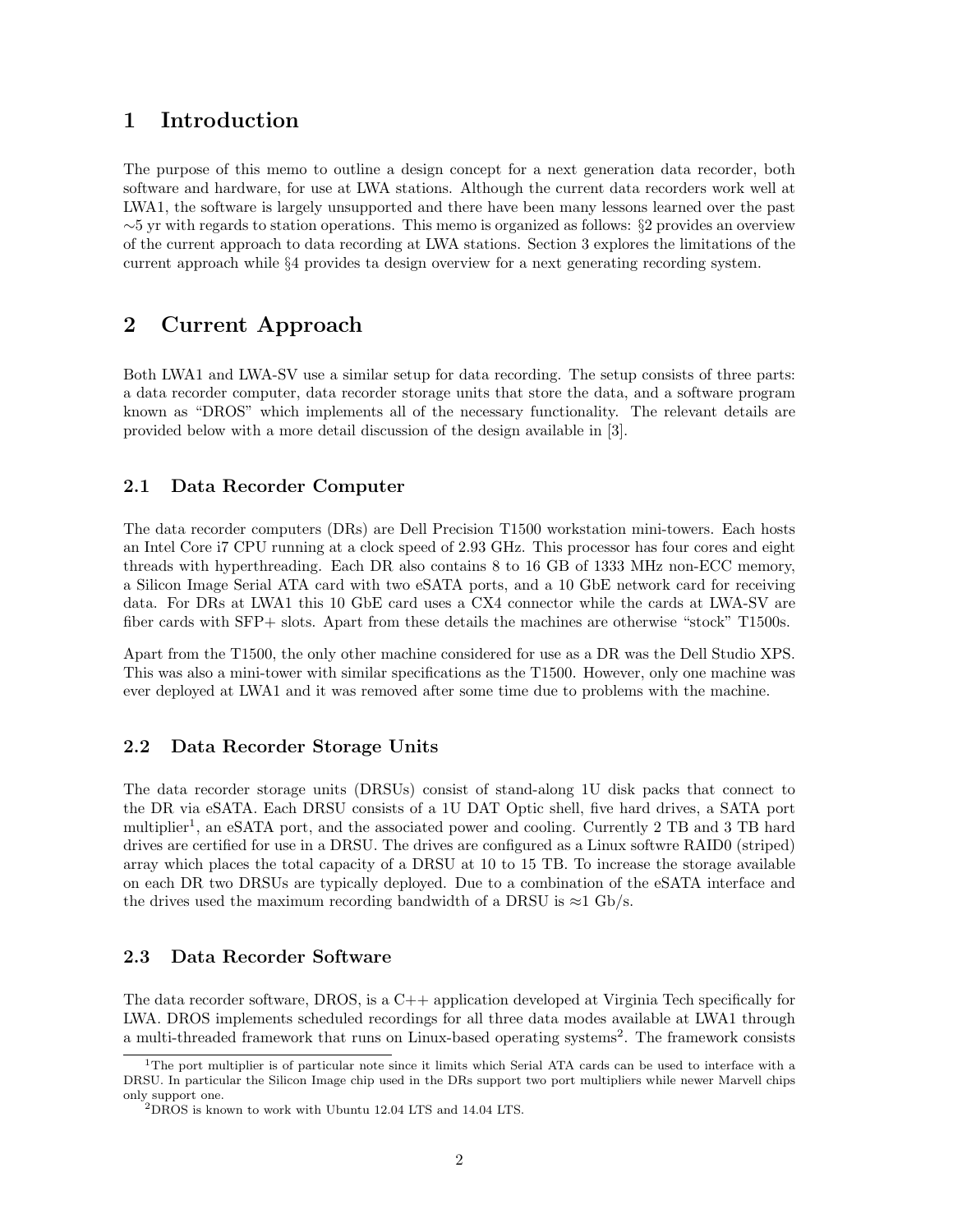### 1 Introduction

The purpose of this memo to outline a design concept for a next generation data recorder, both software and hardware, for use at LWA stations. Although the current data recorders work well at LWA1, the software is largely unsupported and there have been many lessons learned over the past ∼5 yr with regards to station operations. This memo is organized as follows: §2 provides an overview of the current approach to data recording at LWA stations. Section 3 explores the limitations of the current approach while §4 provides ta design overview for a next generating recording system.

### 2 Current Approach

Both LWA1 and LWA-SV use a similar setup for data recording. The setup consists of three parts: a data recorder computer, data recorder storage units that store the data, and a software program known as "DROS" which implements all of the necessary functionality. The relevant details are provided below with a more detail discussion of the design available in [3].

### 2.1 Data Recorder Computer

The data recorder computers (DRs) are Dell Precision T1500 workstation mini-towers. Each hosts an Intel Core i7 CPU running at a clock speed of 2.93 GHz. This processor has four cores and eight threads with hyperthreading. Each DR also contains 8 to 16 GB of 1333 MHz non-ECC memory, a Silicon Image Serial ATA card with two eSATA ports, and a 10 GbE network card for receiving data. For DRs at LWA1 this 10 GbE card uses a CX4 connector while the cards at LWA-SV are fiber cards with SFP+ slots. Apart from these details the machines are otherwise "stock" T1500s.

Apart from the T1500, the only other machine considered for use as a DR was the Dell Studio XPS. This was also a mini-tower with similar specifications as the T1500. However, only one machine was ever deployed at LWA1 and it was removed after some time due to problems with the machine.

#### 2.2 Data Recorder Storage Units

The data recorder storage units (DRSUs) consist of stand-along 1U disk packs that connect to the DR via eSATA. Each DRSU consists of a 1U DAT Optic shell, five hard drives, a SATA port multiplier<sup>1</sup>, an eSATA port, and the associated power and cooling. Currently 2 TB and 3 TB hard drives are certified for use in a DRSU. The drives are configured as a Linux softwre RAID0 (striped) array which places the total capacity of a DRSU at 10 to 15 TB. To increase the storage available on each DR two DRSUs are typically deployed. Due to a combination of the eSATA interface and the drives used the maximum recording bandwidth of a DRSU is  $\approx$ 1 Gb/s.

### 2.3 Data Recorder Software

The data recorder software, DROS, is a C++ application developed at Virginia Tech specifically for LWA. DROS implements scheduled recordings for all three data modes available at LWA1 through a multi-threaded framework that runs on Linux-based operating systems<sup>2</sup>. The framework consists

<sup>&</sup>lt;sup>1</sup>The port multiplier is of particular note since it limits which Serial ATA cards can be used to interface with a DRSU. In particular the Silicon Image chip used in the DRs support two port multipliers while newer Marvell chips only support one.

 ${}^{2}$ DROS is known to work with Ubuntu 12.04 LTS and 14.04 LTS.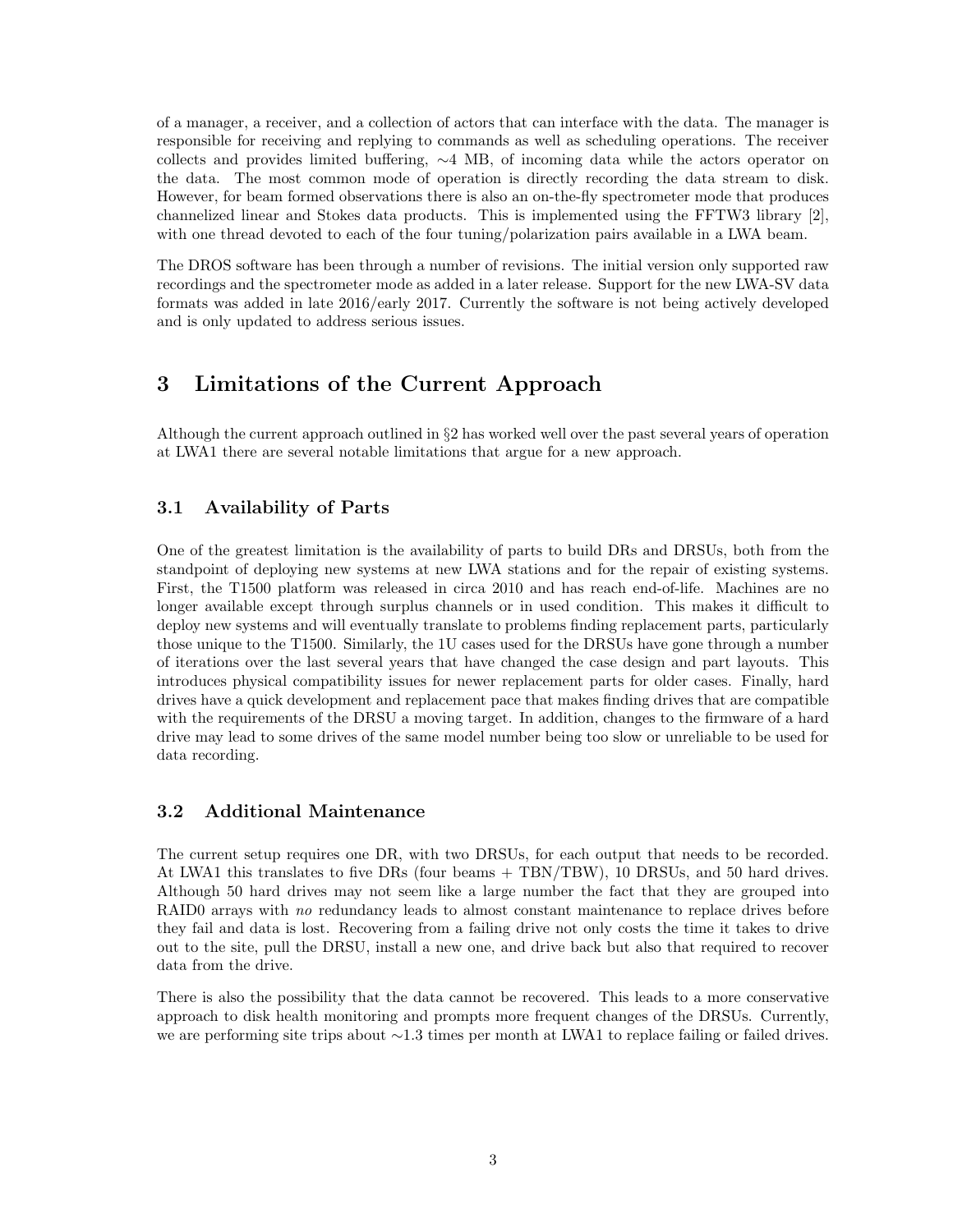of a manager, a receiver, and a collection of actors that can interface with the data. The manager is responsible for receiving and replying to commands as well as scheduling operations. The receiver collects and provides limited buffering, ∼4 MB, of incoming data while the actors operator on the data. The most common mode of operation is directly recording the data stream to disk. However, for beam formed observations there is also an on-the-fly spectrometer mode that produces channelized linear and Stokes data products. This is implemented using the FFTW3 library [2], with one thread devoted to each of the four tuning/polarization pairs available in a LWA beam.

The DROS software has been through a number of revisions. The initial version only supported raw recordings and the spectrometer mode as added in a later release. Support for the new LWA-SV data formats was added in late 2016/early 2017. Currently the software is not being actively developed and is only updated to address serious issues.

## 3 Limitations of the Current Approach

Although the current approach outlined in §2 has worked well over the past several years of operation at LWA1 there are several notable limitations that argue for a new approach.

### 3.1 Availability of Parts

One of the greatest limitation is the availability of parts to build DRs and DRSUs, both from the standpoint of deploying new systems at new LWA stations and for the repair of existing systems. First, the T1500 platform was released in circa 2010 and has reach end-of-life. Machines are no longer available except through surplus channels or in used condition. This makes it difficult to deploy new systems and will eventually translate to problems finding replacement parts, particularly those unique to the T1500. Similarly, the 1U cases used for the DRSUs have gone through a number of iterations over the last several years that have changed the case design and part layouts. This introduces physical compatibility issues for newer replacement parts for older cases. Finally, hard drives have a quick development and replacement pace that makes finding drives that are compatible with the requirements of the DRSU a moving target. In addition, changes to the firmware of a hard drive may lead to some drives of the same model number being too slow or unreliable to be used for data recording.

#### 3.2 Additional Maintenance

The current setup requires one DR, with two DRSUs, for each output that needs to be recorded. At LWA1 this translates to five DRs (four beams + TBN/TBW), 10 DRSUs, and 50 hard drives. Although 50 hard drives may not seem like a large number the fact that they are grouped into RAID0 arrays with no redundancy leads to almost constant maintenance to replace drives before they fail and data is lost. Recovering from a failing drive not only costs the time it takes to drive out to the site, pull the DRSU, install a new one, and drive back but also that required to recover data from the drive.

There is also the possibility that the data cannot be recovered. This leads to a more conservative approach to disk health monitoring and prompts more frequent changes of the DRSUs. Currently, we are performing site trips about ∼1.3 times per month at LWA1 to replace failing or failed drives.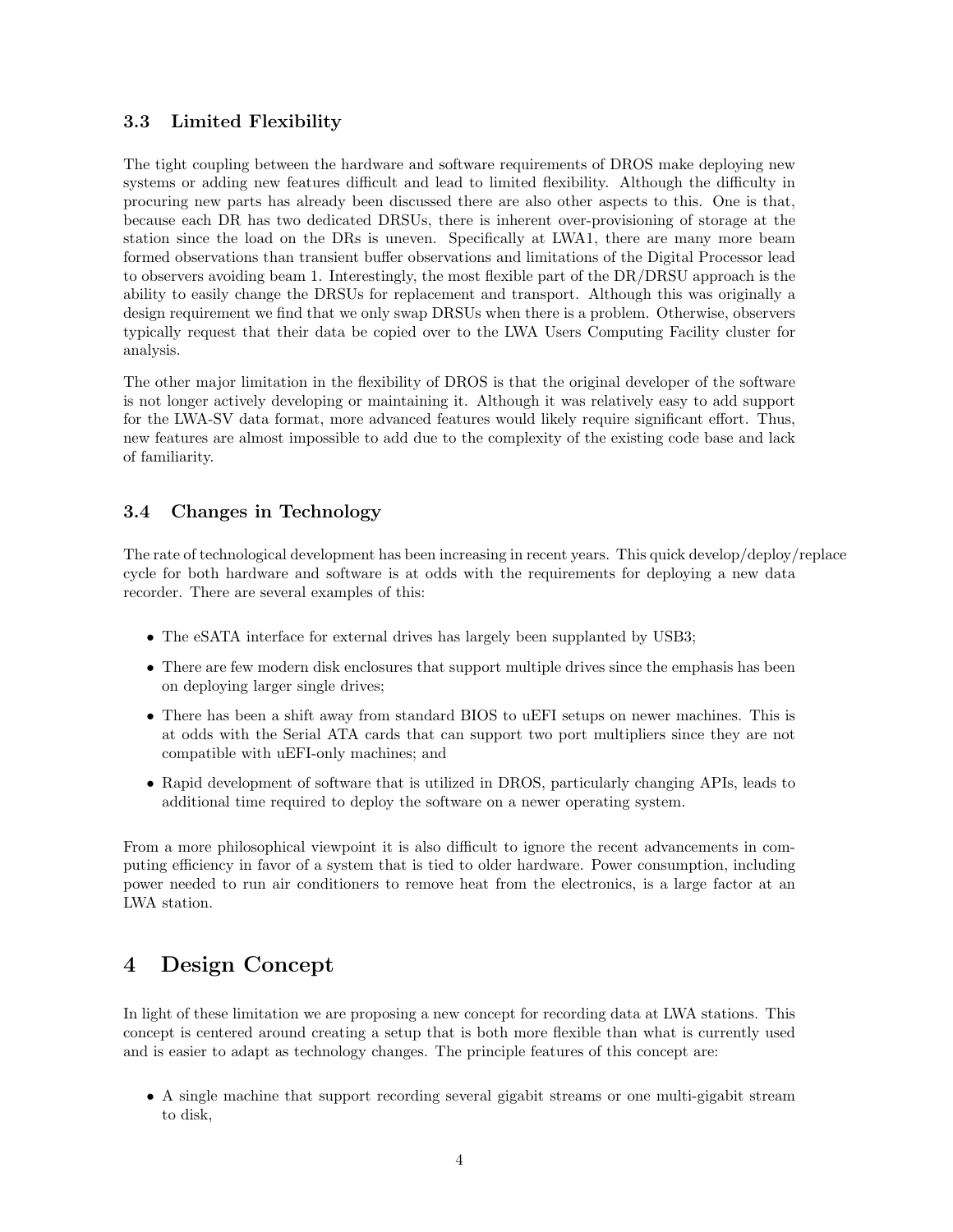### 3.3 Limited Flexibility

The tight coupling between the hardware and software requirements of DROS make deploying new systems or adding new features difficult and lead to limited flexibility. Although the difficulty in procuring new parts has already been discussed there are also other aspects to this. One is that, because each DR has two dedicated DRSUs, there is inherent over-provisioning of storage at the station since the load on the DRs is uneven. Specifically at LWA1, there are many more beam formed observations than transient buffer observations and limitations of the Digital Processor lead to observers avoiding beam 1. Interestingly, the most flexible part of the DR/DRSU approach is the ability to easily change the DRSUs for replacement and transport. Although this was originally a design requirement we find that we only swap DRSUs when there is a problem. Otherwise, observers typically request that their data be copied over to the LWA Users Computing Facility cluster for analysis.

The other major limitation in the flexibility of DROS is that the original developer of the software is not longer actively developing or maintaining it. Although it was relatively easy to add support for the LWA-SV data format, more advanced features would likely require significant effort. Thus, new features are almost impossible to add due to the complexity of the existing code base and lack of familiarity.

### 3.4 Changes in Technology

The rate of technological development has been increasing in recent years. This quick develop/deploy/replace cycle for both hardware and software is at odds with the requirements for deploying a new data recorder. There are several examples of this:

- The eSATA interface for external drives has largely been supplanted by USB3;
- There are few modern disk enclosures that support multiple drives since the emphasis has been on deploying larger single drives;
- There has been a shift away from standard BIOS to uEFI setups on newer machines. This is at odds with the Serial ATA cards that can support two port multipliers since they are not compatible with uEFI-only machines; and
- Rapid development of software that is utilized in DROS, particularly changing APIs, leads to additional time required to deploy the software on a newer operating system.

From a more philosophical viewpoint it is also difficult to ignore the recent advancements in computing efficiency in favor of a system that is tied to older hardware. Power consumption, including power needed to run air conditioners to remove heat from the electronics, is a large factor at an LWA station.

## 4 Design Concept

In light of these limitation we are proposing a new concept for recording data at LWA stations. This concept is centered around creating a setup that is both more flexible than what is currently used and is easier to adapt as technology changes. The principle features of this concept are:

• A single machine that support recording several gigabit streams or one multi-gigabit stream to disk,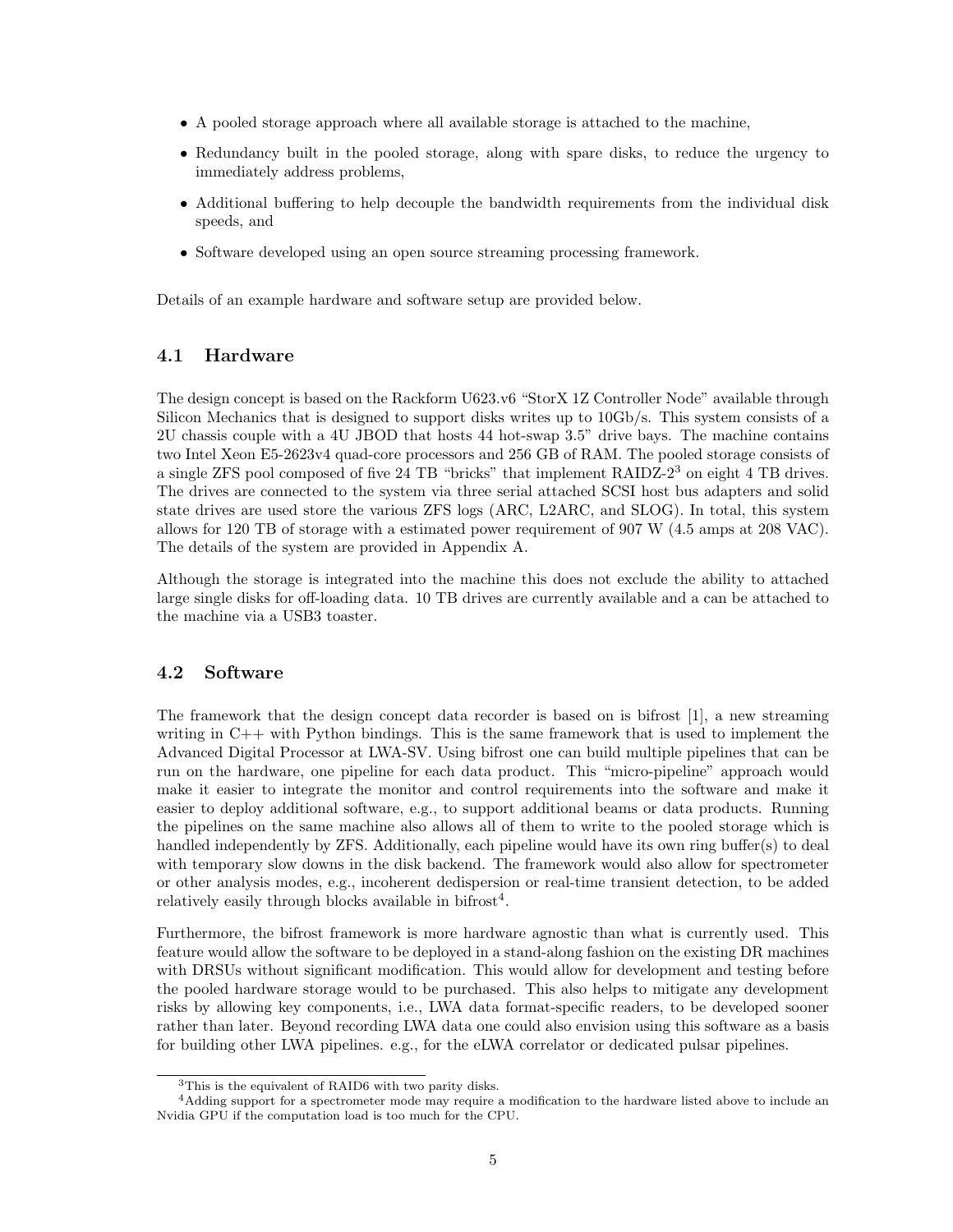- A pooled storage approach where all available storage is attached to the machine,
- Redundancy built in the pooled storage, along with spare disks, to reduce the urgency to immediately address problems,
- Additional buffering to help decouple the bandwidth requirements from the individual disk speeds, and
- Software developed using an open source streaming processing framework.

Details of an example hardware and software setup are provided below.

#### 4.1 Hardware

The design concept is based on the Rackform U623.v6 "StorX 1Z Controller Node" available through Silicon Mechanics that is designed to support disks writes up to 10Gb/s. This system consists of a 2U chassis couple with a 4U JBOD that hosts 44 hot-swap 3.5" drive bays. The machine contains two Intel Xeon E5-2623v4 quad-core processors and 256 GB of RAM. The pooled storage consists of a single ZFS pool composed of five 24 TB "bricks" that implement RAIDZ-2<sup>3</sup> on eight 4 TB drives. The drives are connected to the system via three serial attached SCSI host bus adapters and solid state drives are used store the various ZFS logs (ARC, L2ARC, and SLOG). In total, this system allows for 120 TB of storage with a estimated power requirement of 907 W (4.5 amps at 208 VAC). The details of the system are provided in Appendix A.

Although the storage is integrated into the machine this does not exclude the ability to attached large single disks for off-loading data. 10 TB drives are currently available and a can be attached to the machine via a USB3 toaster.

#### 4.2 Software

The framework that the design concept data recorder is based on is bifrost [1], a new streaming writing in  $C++$  with Python bindings. This is the same framework that is used to implement the Advanced Digital Processor at LWA-SV. Using bifrost one can build multiple pipelines that can be run on the hardware, one pipeline for each data product. This "micro-pipeline" approach would make it easier to integrate the monitor and control requirements into the software and make it easier to deploy additional software, e.g., to support additional beams or data products. Running the pipelines on the same machine also allows all of them to write to the pooled storage which is handled independently by ZFS. Additionally, each pipeline would have its own ring buffer(s) to deal with temporary slow downs in the disk backend. The framework would also allow for spectrometer or other analysis modes, e.g., incoherent dedispersion or real-time transient detection, to be added relatively easily through blocks available in bifrost<sup>4</sup>.

Furthermore, the bifrost framework is more hardware agnostic than what is currently used. This feature would allow the software to be deployed in a stand-along fashion on the existing DR machines with DRSUs without significant modification. This would allow for development and testing before the pooled hardware storage would to be purchased. This also helps to mitigate any development risks by allowing key components, i.e., LWA data format-specific readers, to be developed sooner rather than later. Beyond recording LWA data one could also envision using this software as a basis for building other LWA pipelines. e.g., for the eLWA correlator or dedicated pulsar pipelines.

<sup>3</sup>This is the equivalent of RAID6 with two parity disks.

<sup>&</sup>lt;sup>4</sup>Adding support for a spectrometer mode may require a modification to the hardware listed above to include an Nvidia GPU if the computation load is too much for the CPU.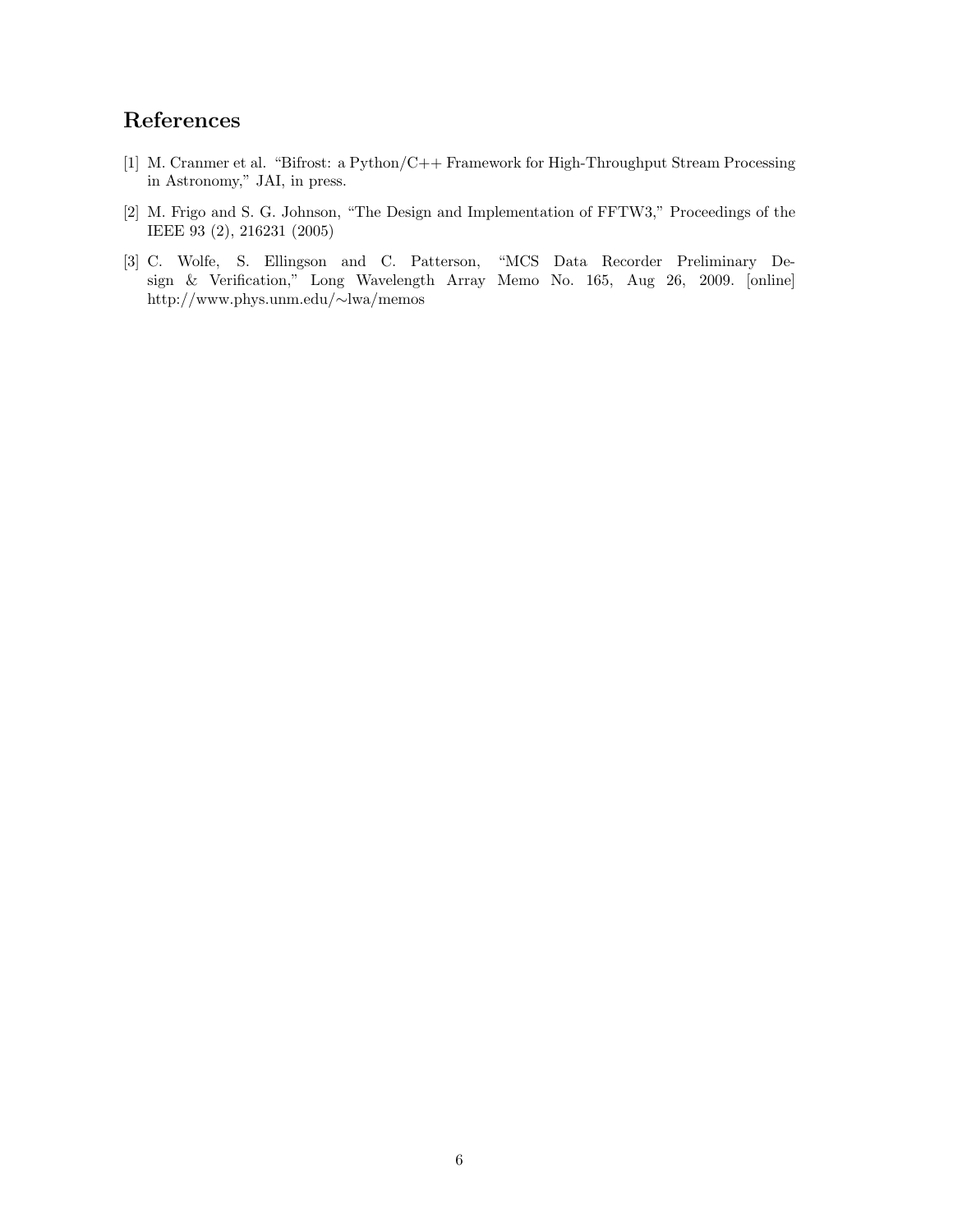## References

- [1] M. Cranmer et al. "Bifrost: a Python/C++ Framework for High-Throughput Stream Processing in Astronomy," JAI, in press.
- [2] M. Frigo and S. G. Johnson, "The Design and Implementation of FFTW3," Proceedings of the IEEE 93 (2), 216231 (2005)
- [3] C. Wolfe, S. Ellingson and C. Patterson, "MCS Data Recorder Preliminary Design & Verification," Long Wavelength Array Memo No. 165, Aug 26, 2009. [online] http://www.phys.unm.edu/∼lwa/memos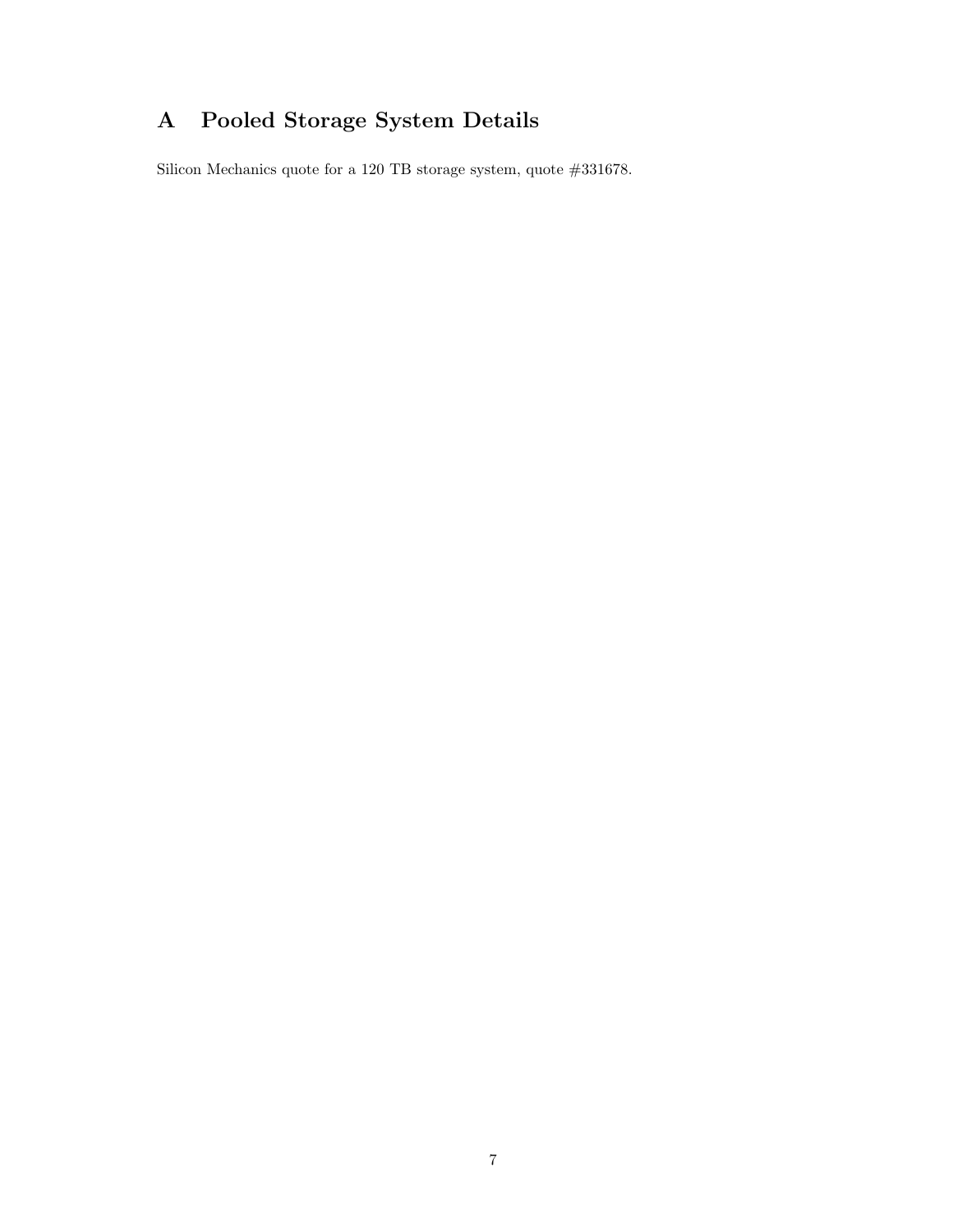# A Pooled Storage System Details

Silicon Mechanics quote for a 120 TB storage system, quote #331678.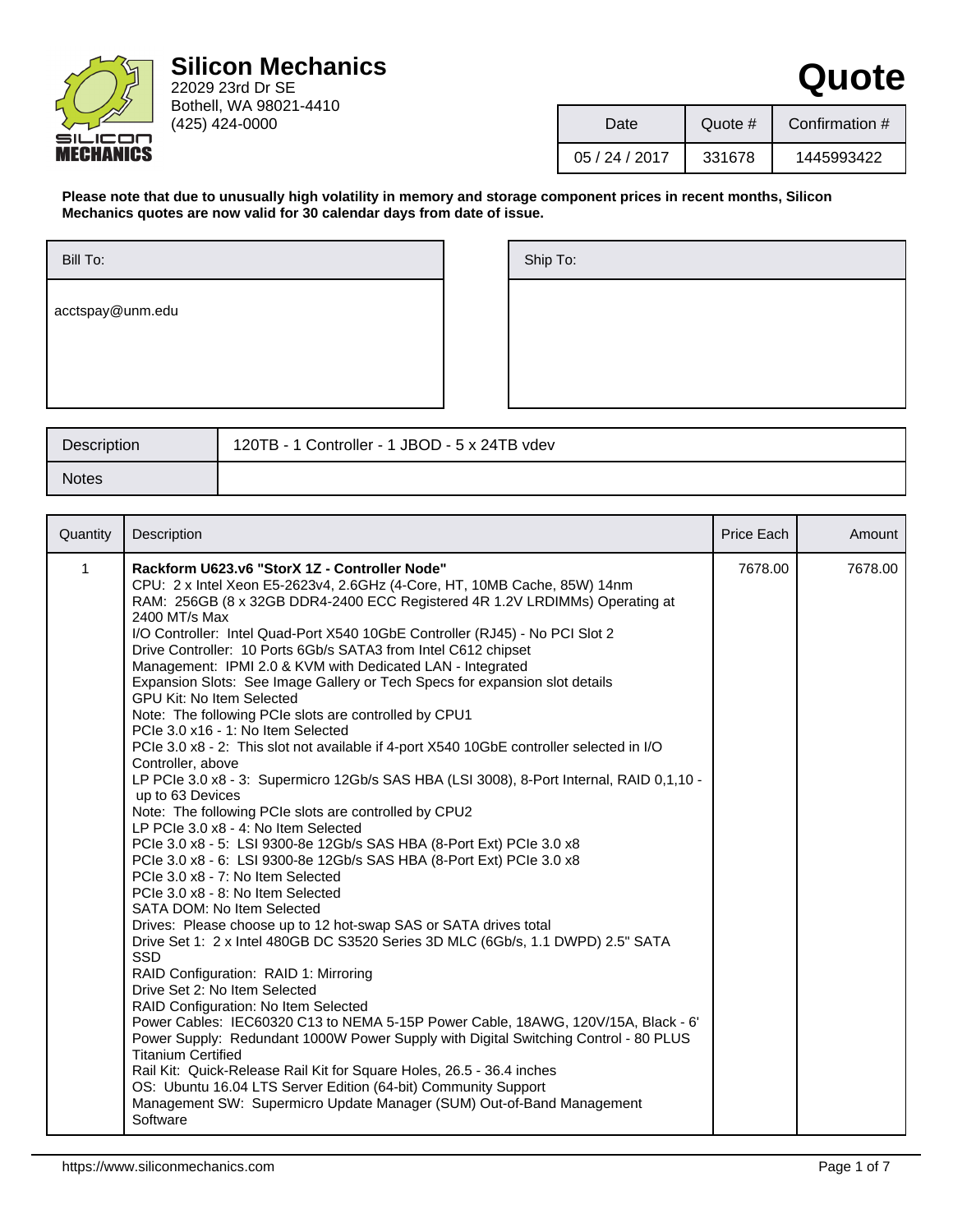

| Date           | Quote # | Confirmation # |  |
|----------------|---------|----------------|--|
| 05 / 24 / 2017 | 331678  | 1445993422     |  |

**Quote**

**Please note that due to unusually high volatility in memory and storage component prices in recent months, Silicon Mechanics quotes are now valid for 30 calendar days from date of issue.**

| Ship To: |  |  |  |
|----------|--|--|--|
|          |  |  |  |
|          |  |  |  |
|          |  |  |  |

| Description  | 120TB - 1 Controller - 1 JBOD - 5 x 24TB vdev |
|--------------|-----------------------------------------------|
| <b>Notes</b> |                                               |

| Quantity     | Description                                                                                                                                                                                                                                                                                                                                                                                                                                                                                                                                                                                                                                                                                                                                                                                                                                                                                                                                                                                                                                                                                                                                                                                                                                                                                                                                                                                                                                                                                                                                                                                                                                                                                                                                                                                                                                                                                                                                                                           | Price Each | Amount  |
|--------------|---------------------------------------------------------------------------------------------------------------------------------------------------------------------------------------------------------------------------------------------------------------------------------------------------------------------------------------------------------------------------------------------------------------------------------------------------------------------------------------------------------------------------------------------------------------------------------------------------------------------------------------------------------------------------------------------------------------------------------------------------------------------------------------------------------------------------------------------------------------------------------------------------------------------------------------------------------------------------------------------------------------------------------------------------------------------------------------------------------------------------------------------------------------------------------------------------------------------------------------------------------------------------------------------------------------------------------------------------------------------------------------------------------------------------------------------------------------------------------------------------------------------------------------------------------------------------------------------------------------------------------------------------------------------------------------------------------------------------------------------------------------------------------------------------------------------------------------------------------------------------------------------------------------------------------------------------------------------------------------|------------|---------|
| $\mathbf{1}$ | Rackform U623.v6 "StorX 1Z - Controller Node"<br>CPU: 2 x Intel Xeon E5-2623v4, 2.6GHz (4-Core, HT, 10MB Cache, 85W) 14nm<br>RAM: 256GB (8 x 32GB DDR4-2400 ECC Registered 4R 1.2V LRDIMMs) Operating at<br>2400 MT/s Max<br>I/O Controller: Intel Quad-Port X540 10GbE Controller (RJ45) - No PCI Slot 2<br>Drive Controller: 10 Ports 6Gb/s SATA3 from Intel C612 chipset<br>Management: IPMI 2.0 & KVM with Dedicated LAN - Integrated<br>Expansion Slots: See Image Gallery or Tech Specs for expansion slot details<br><b>GPU Kit: No Item Selected</b><br>Note: The following PCIe slots are controlled by CPU1<br>PCIe 3.0 x16 - 1: No Item Selected<br>PCIe 3.0 x8 - 2: This slot not available if 4-port X540 10GbE controller selected in I/O<br>Controller, above<br>LP PCIe 3.0 x8 - 3: Supermicro 12Gb/s SAS HBA (LSI 3008), 8-Port Internal, RAID 0,1,10 -<br>up to 63 Devices<br>Note: The following PCIe slots are controlled by CPU2<br>LP PCIe 3.0 x8 - 4: No Item Selected<br>PCIe 3.0 x8 - 5: LSI 9300-8e 12Gb/s SAS HBA (8-Port Ext) PCIe 3.0 x8<br>PCIe 3.0 x8 - 6: LSI 9300-8e 12Gb/s SAS HBA (8-Port Ext) PCIe 3.0 x8<br>PCIe 3.0 x8 - 7: No Item Selected<br>PCIe 3.0 x8 - 8: No Item Selected<br>SATA DOM: No Item Selected<br>Drives: Please choose up to 12 hot-swap SAS or SATA drives total<br>Drive Set 1: 2 x Intel 480GB DC S3520 Series 3D MLC (6Gb/s, 1.1 DWPD) 2.5" SATA<br><b>SSD</b><br>RAID Configuration: RAID 1: Mirroring<br>Drive Set 2: No Item Selected<br>RAID Configuration: No Item Selected<br>Power Cables: IEC60320 C13 to NEMA 5-15P Power Cable, 18AWG, 120V/15A, Black - 6'<br>Power Supply: Redundant 1000W Power Supply with Digital Switching Control - 80 PLUS<br><b>Titanium Certified</b><br>Rail Kit: Quick-Release Rail Kit for Square Holes, 26.5 - 36.4 inches<br>OS: Ubuntu 16.04 LTS Server Edition (64-bit) Community Support<br>Management SW: Supermicro Update Manager (SUM) Out-of-Band Management<br>Software | 7678.00    | 7678.00 |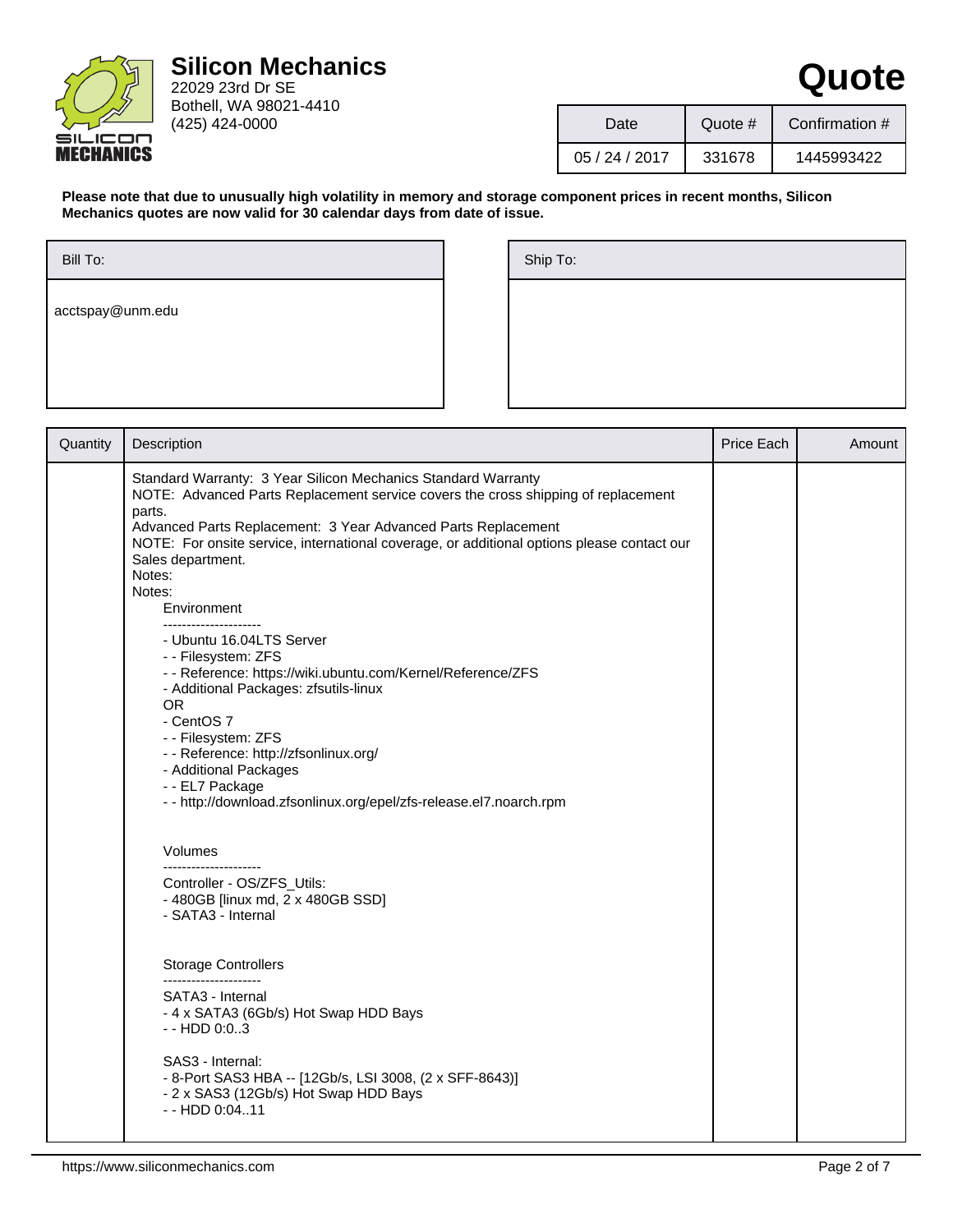

22029 23rd Dr SE Bothell, WA 98021-4410 (425) 424-0000

| Date       | Quote # | Confirmation # |  |
|------------|---------|----------------|--|
| 05/24/2017 | 331678  | 1445993422     |  |

**Quote**

**Please note that due to unusually high volatility in memory and storage component prices in recent months, Silicon Mechanics quotes are now valid for 30 calendar days from date of issue.**

| Bill To:         |  |  |
|------------------|--|--|
| acctspay@unm.edu |  |  |
|                  |  |  |
|                  |  |  |

| Ship To: |  |  |  |
|----------|--|--|--|
|          |  |  |  |
|          |  |  |  |
|          |  |  |  |

| Quantity | Description                                                                                                                                                                                                                                                                                                                                                                                   | Price Each | Amount |
|----------|-----------------------------------------------------------------------------------------------------------------------------------------------------------------------------------------------------------------------------------------------------------------------------------------------------------------------------------------------------------------------------------------------|------------|--------|
|          | Standard Warranty: 3 Year Silicon Mechanics Standard Warranty<br>NOTE: Advanced Parts Replacement service covers the cross shipping of replacement<br>parts.<br>Advanced Parts Replacement: 3 Year Advanced Parts Replacement<br>NOTE: For onsite service, international coverage, or additional options please contact our<br>Sales department.<br>Notes:<br>Notes:<br>Environment           |            |        |
|          | ---------------------<br>- Ubuntu 16.04LTS Server<br>- - Filesystem: ZFS<br>- - Reference: https://wiki.ubuntu.com/Kernel/Reference/ZFS<br>- Additional Packages: zfsutils-linux<br><b>OR</b><br>- CentOS 7<br>- - Filesystem: ZFS<br>- - Reference: http://zfsonlinux.org/<br>- Additional Packages<br>- - EL7 Package<br>- - http://download.zfsonlinux.org/epel/zfs-release.el7.noarch.rpm |            |        |
|          | Volumes                                                                                                                                                                                                                                                                                                                                                                                       |            |        |
|          | _____________________<br>Controller - OS/ZFS_Utils:<br>- 480GB [linux md, 2 x 480GB SSD]<br>- SATA3 - Internal                                                                                                                                                                                                                                                                                |            |        |
|          | <b>Storage Controllers</b><br>----------------------                                                                                                                                                                                                                                                                                                                                          |            |        |
|          | SATA3 - Internal<br>- 4 x SATA3 (6Gb/s) Hot Swap HDD Bays<br>$-$ - HDD 0:03                                                                                                                                                                                                                                                                                                                   |            |        |
|          | SAS3 - Internal:<br>- 8-Port SAS3 HBA -- [12Gb/s, LSI 3008, (2 x SFF-8643)]<br>- 2 x SAS3 (12Gb/s) Hot Swap HDD Bays<br>$-$ - HDD 0:0411                                                                                                                                                                                                                                                      |            |        |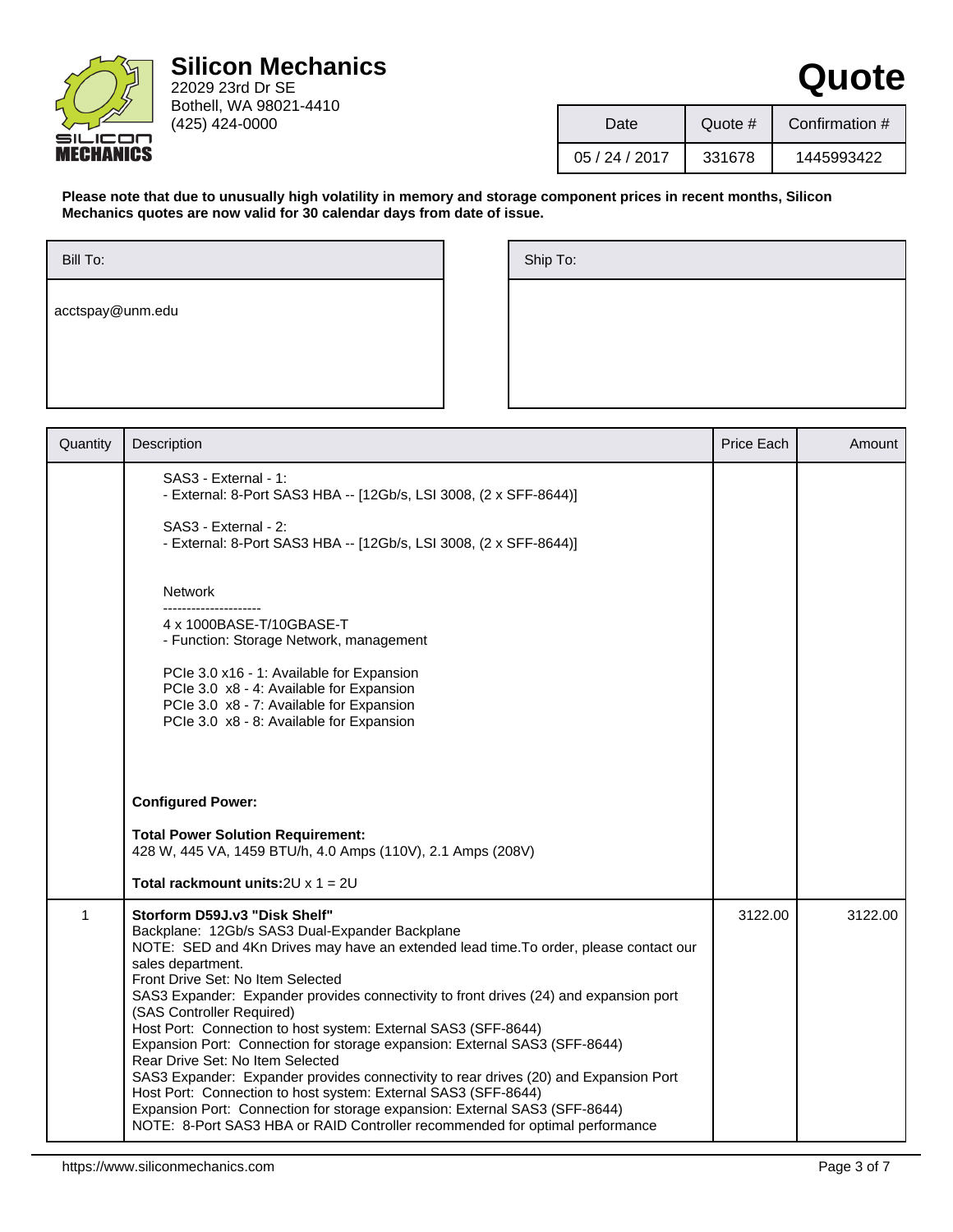

22029 23rd Dr SE Bothell, WA 98021-4410 (425) 424-0000

| Date       | Quote # | Confirmation # |  |
|------------|---------|----------------|--|
| 05/24/2017 | 331678  | 1445993422     |  |

**Quote**

**Please note that due to unusually high volatility in memory and storage component prices in recent months, Silicon Mechanics quotes are now valid for 30 calendar days from date of issue.**

| Ship To: |  |  |  |
|----------|--|--|--|
|          |  |  |  |
|          |  |  |  |
|          |  |  |  |

| Quantity    | Description                                                                                                                                                                                                                                                                                                                                                                                                                                                                                                                                                                                                                                                                                                                                                                                                                                                          | Price Each | Amount  |
|-------------|----------------------------------------------------------------------------------------------------------------------------------------------------------------------------------------------------------------------------------------------------------------------------------------------------------------------------------------------------------------------------------------------------------------------------------------------------------------------------------------------------------------------------------------------------------------------------------------------------------------------------------------------------------------------------------------------------------------------------------------------------------------------------------------------------------------------------------------------------------------------|------------|---------|
|             | SAS3 - External - 1:<br>- External: 8-Port SAS3 HBA -- [12Gb/s, LSI 3008, (2 x SFF-8644)]                                                                                                                                                                                                                                                                                                                                                                                                                                                                                                                                                                                                                                                                                                                                                                            |            |         |
|             | SAS3 - External - 2:<br>- External: 8-Port SAS3 HBA -- [12Gb/s, LSI 3008, (2 x SFF-8644)]                                                                                                                                                                                                                                                                                                                                                                                                                                                                                                                                                                                                                                                                                                                                                                            |            |         |
|             | Network                                                                                                                                                                                                                                                                                                                                                                                                                                                                                                                                                                                                                                                                                                                                                                                                                                                              |            |         |
|             | 4 x 1000BASE-T/10GBASE-T<br>- Function: Storage Network, management                                                                                                                                                                                                                                                                                                                                                                                                                                                                                                                                                                                                                                                                                                                                                                                                  |            |         |
|             | PCIe 3.0 x16 - 1: Available for Expansion<br>PCIe 3.0 x8 - 4: Available for Expansion<br>PCIe 3.0 x8 - 7: Available for Expansion<br>PCIe 3.0 x8 - 8: Available for Expansion                                                                                                                                                                                                                                                                                                                                                                                                                                                                                                                                                                                                                                                                                        |            |         |
|             | <b>Configured Power:</b><br><b>Total Power Solution Requirement:</b><br>428 W, 445 VA, 1459 BTU/h, 4.0 Amps (110V), 2.1 Amps (208V)                                                                                                                                                                                                                                                                                                                                                                                                                                                                                                                                                                                                                                                                                                                                  |            |         |
|             | Total rackmount units: $2U \times 1 = 2U$                                                                                                                                                                                                                                                                                                                                                                                                                                                                                                                                                                                                                                                                                                                                                                                                                            |            |         |
| $\mathbf 1$ | Storform D59J.v3 "Disk Shelf"<br>Backplane: 12Gb/s SAS3 Dual-Expander Backplane<br>NOTE: SED and 4Kn Drives may have an extended lead time. To order, please contact our<br>sales department.<br>Front Drive Set: No Item Selected<br>SAS3 Expander: Expander provides connectivity to front drives (24) and expansion port<br>(SAS Controller Required)<br>Host Port: Connection to host system: External SAS3 (SFF-8644)<br>Expansion Port: Connection for storage expansion: External SAS3 (SFF-8644)<br>Rear Drive Set: No Item Selected<br>SAS3 Expander: Expander provides connectivity to rear drives (20) and Expansion Port<br>Host Port: Connection to host system: External SAS3 (SFF-8644)<br>Expansion Port: Connection for storage expansion: External SAS3 (SFF-8644)<br>NOTE: 8-Port SAS3 HBA or RAID Controller recommended for optimal performance | 3122.00    | 3122.00 |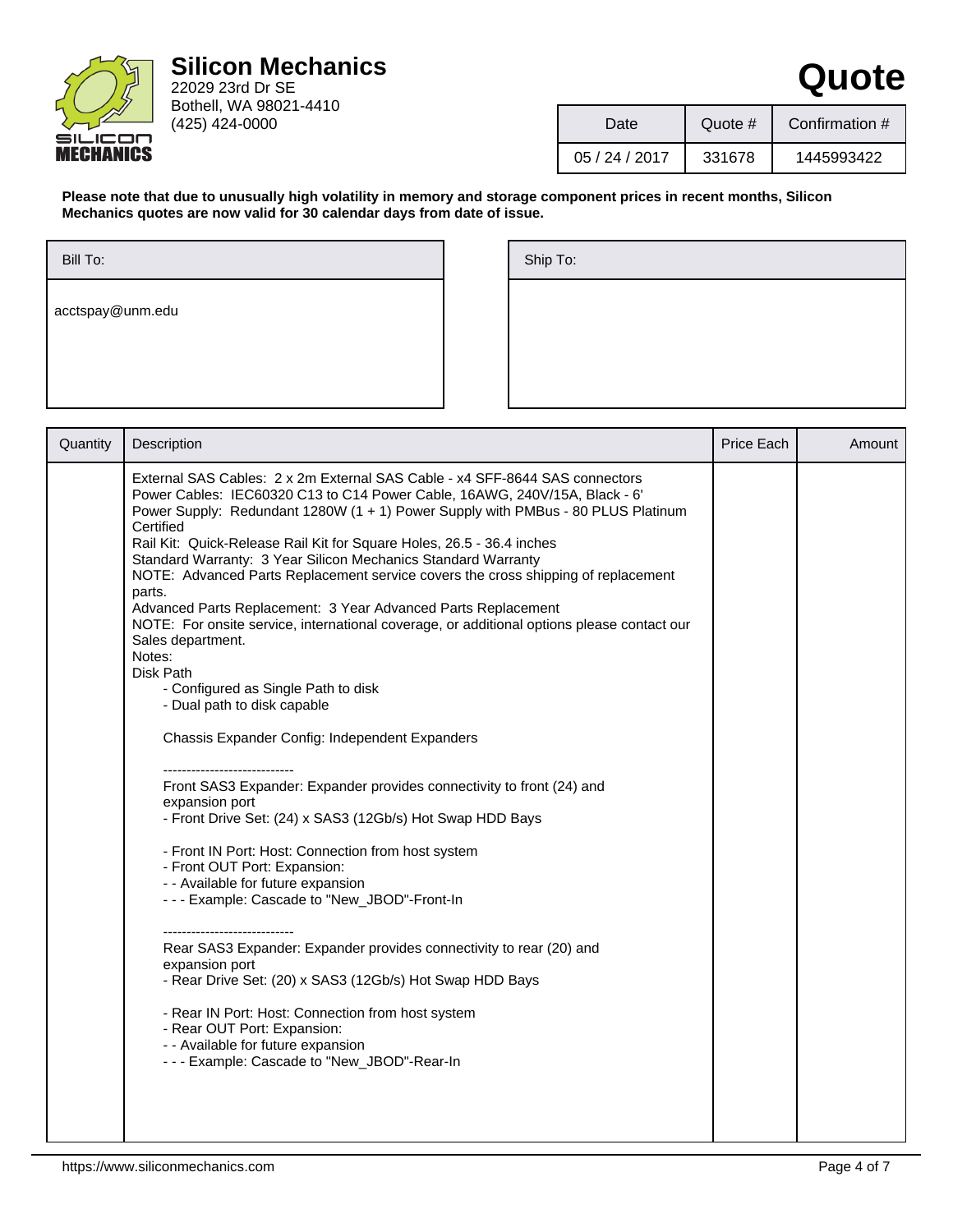

22029 23rd Dr SE Bothell, WA 98021-4410 (425) 424-0000

| Date       | Quote # | Confirmation # |
|------------|---------|----------------|
| 05/24/2017 | 331678  | 1445993422     |

**Quote**

**Please note that due to unusually high volatility in memory and storage component prices in recent months, Silicon Mechanics quotes are now valid for 30 calendar days from date of issue.**

| Bill To:         |  |  |
|------------------|--|--|
| acctspay@unm.edu |  |  |
|                  |  |  |
|                  |  |  |

| Ship To: |
|----------|
|          |
|          |
|          |
|          |

| Quantity | Description                                                                                                                                                                                                                                                                                                                                                                                                                                                                                                                                                                                                                                                                                                                                                                                                                                                                                                                                                                                                                                                                                                                                                                                                                                                                                                                                                                                                                                                                                            | Price Each | Amount |
|----------|--------------------------------------------------------------------------------------------------------------------------------------------------------------------------------------------------------------------------------------------------------------------------------------------------------------------------------------------------------------------------------------------------------------------------------------------------------------------------------------------------------------------------------------------------------------------------------------------------------------------------------------------------------------------------------------------------------------------------------------------------------------------------------------------------------------------------------------------------------------------------------------------------------------------------------------------------------------------------------------------------------------------------------------------------------------------------------------------------------------------------------------------------------------------------------------------------------------------------------------------------------------------------------------------------------------------------------------------------------------------------------------------------------------------------------------------------------------------------------------------------------|------------|--------|
|          | External SAS Cables: 2 x 2m External SAS Cable - x4 SFF-8644 SAS connectors<br>Power Cables: IEC60320 C13 to C14 Power Cable, 16AWG, 240V/15A, Black - 6'<br>Power Supply: Redundant 1280W (1 + 1) Power Supply with PMBus - 80 PLUS Platinum<br>Certified<br>Rail Kit: Quick-Release Rail Kit for Square Holes, 26.5 - 36.4 inches<br>Standard Warranty: 3 Year Silicon Mechanics Standard Warranty<br>NOTE: Advanced Parts Replacement service covers the cross shipping of replacement<br>parts.<br>Advanced Parts Replacement: 3 Year Advanced Parts Replacement<br>NOTE: For onsite service, international coverage, or additional options please contact our<br>Sales department.<br>Notes:<br>Disk Path<br>- Configured as Single Path to disk<br>- Dual path to disk capable<br>Chassis Expander Config: Independent Expanders<br>Front SAS3 Expander: Expander provides connectivity to front (24) and<br>expansion port<br>- Front Drive Set: (24) x SAS3 (12Gb/s) Hot Swap HDD Bays<br>- Front IN Port: Host: Connection from host system<br>- Front OUT Port: Expansion:<br>- - Available for future expansion<br>--- Example: Cascade to "New_JBOD"-Front-In<br>Rear SAS3 Expander: Expander provides connectivity to rear (20) and<br>expansion port<br>- Rear Drive Set: (20) x SAS3 (12Gb/s) Hot Swap HDD Bays<br>- Rear IN Port: Host: Connection from host system<br>- Rear OUT Port: Expansion:<br>- - Available for future expansion<br>--- Example: Cascade to "New_JBOD"-Rear-In |            |        |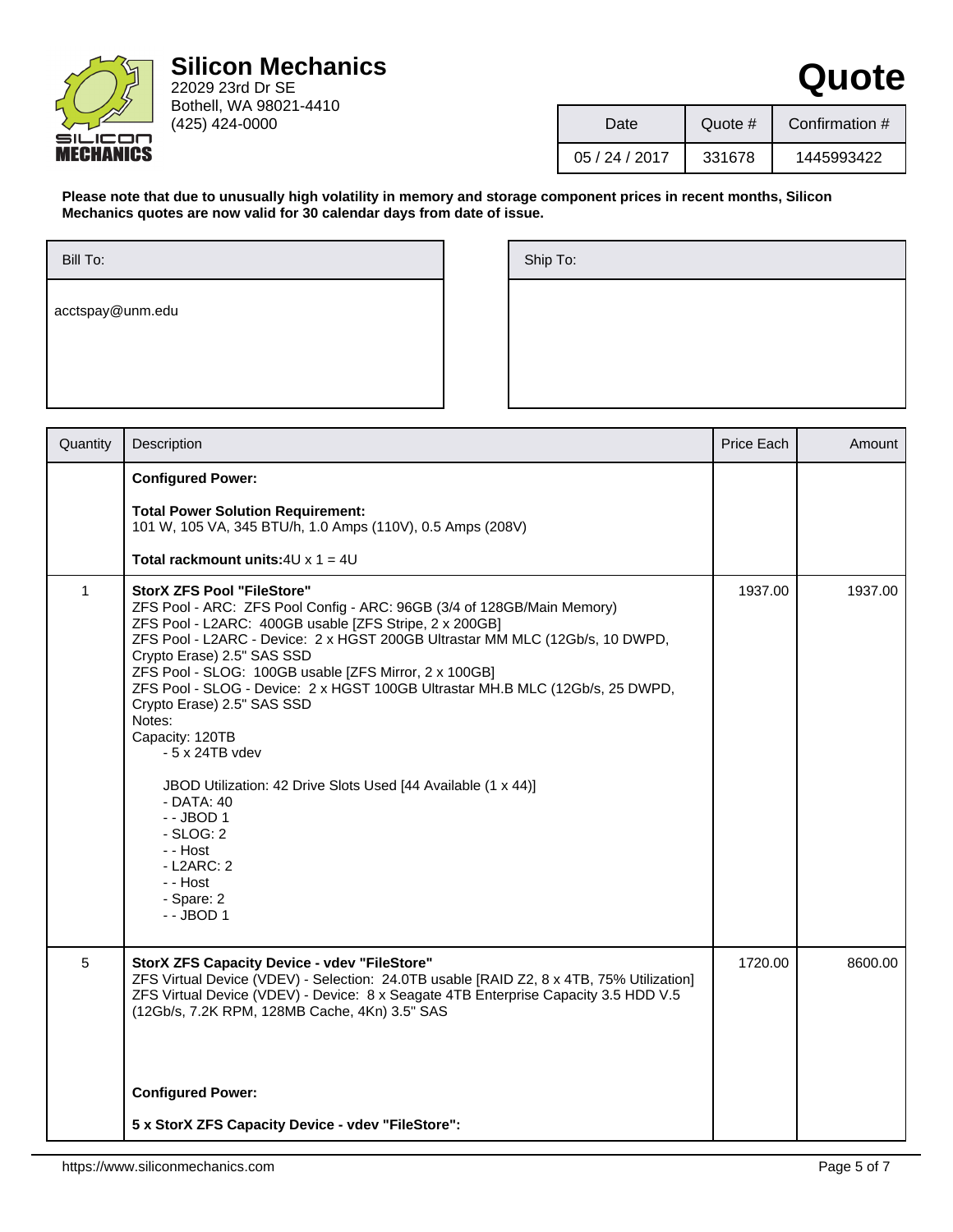

22029 23rd Dr SE Bothell, WA 98021-4410 (425) 424-0000

| Date       | Quote # | Confirmation # |
|------------|---------|----------------|
| 05/24/2017 | 331678  | 1445993422     |

**Quote**

**Please note that due to unusually high volatility in memory and storage component prices in recent months, Silicon Mechanics quotes are now valid for 30 calendar days from date of issue.**

| Ship To: |  |  |  |
|----------|--|--|--|
|          |  |  |  |
|          |  |  |  |
|          |  |  |  |

| Quantity     | Description                                                                                                                                                                                                                                                                                                                                                                                                                                                                                                                                                                                                                                                                               | Price Each | Amount  |
|--------------|-------------------------------------------------------------------------------------------------------------------------------------------------------------------------------------------------------------------------------------------------------------------------------------------------------------------------------------------------------------------------------------------------------------------------------------------------------------------------------------------------------------------------------------------------------------------------------------------------------------------------------------------------------------------------------------------|------------|---------|
|              | <b>Configured Power:</b>                                                                                                                                                                                                                                                                                                                                                                                                                                                                                                                                                                                                                                                                  |            |         |
|              | <b>Total Power Solution Requirement:</b><br>101 W, 105 VA, 345 BTU/h, 1.0 Amps (110V), 0.5 Amps (208V)                                                                                                                                                                                                                                                                                                                                                                                                                                                                                                                                                                                    |            |         |
|              | <b>Total rackmount units:</b> $4U \times 1 = 4U$                                                                                                                                                                                                                                                                                                                                                                                                                                                                                                                                                                                                                                          |            |         |
| $\mathbf{1}$ | <b>StorX ZFS Pool "FileStore"</b><br>ZFS Pool - ARC: ZFS Pool Config - ARC: 96GB (3/4 of 128GB/Main Memory)<br>ZFS Pool - L2ARC: 400GB usable [ZFS Stripe, 2 x 200GB]<br>ZFS Pool - L2ARC - Device: 2 x HGST 200GB Ultrastar MM MLC (12Gb/s, 10 DWPD,<br>Crypto Erase) 2.5" SAS SSD<br>ZFS Pool - SLOG: 100GB usable [ZFS Mirror, 2 x 100GB]<br>ZFS Pool - SLOG - Device: 2 x HGST 100GB Ultrastar MH.B MLC (12Gb/s, 25 DWPD,<br>Crypto Erase) 2.5" SAS SSD<br>Notes:<br>Capacity: 120TB<br>$-5x24TB$ vdev<br>JBOD Utilization: 42 Drive Slots Used [44 Available (1 x 44)]<br>- DATA: 40<br>$-$ - JBOD 1<br>$-SLOG:2$<br>- - Host<br>$-L2ARC: 2$<br>- - Host<br>- Spare: 2<br>$-$ JBOD 1 | 1937.00    | 1937.00 |
| 5            | <b>StorX ZFS Capacity Device - vdev "FileStore"</b><br>ZFS Virtual Device (VDEV) - Selection: 24.0TB usable [RAID Z2, 8 x 4TB, 75% Utilization]<br>ZFS Virtual Device (VDEV) - Device: 8 x Seagate 4TB Enterprise Capacity 3.5 HDD V.5<br>(12Gb/s, 7.2K RPM, 128MB Cache, 4Kn) 3.5" SAS                                                                                                                                                                                                                                                                                                                                                                                                   | 1720.00    | 8600.00 |
|              | <b>Configured Power:</b>                                                                                                                                                                                                                                                                                                                                                                                                                                                                                                                                                                                                                                                                  |            |         |
|              | 5 x StorX ZFS Capacity Device - vdev "FileStore":                                                                                                                                                                                                                                                                                                                                                                                                                                                                                                                                                                                                                                         |            |         |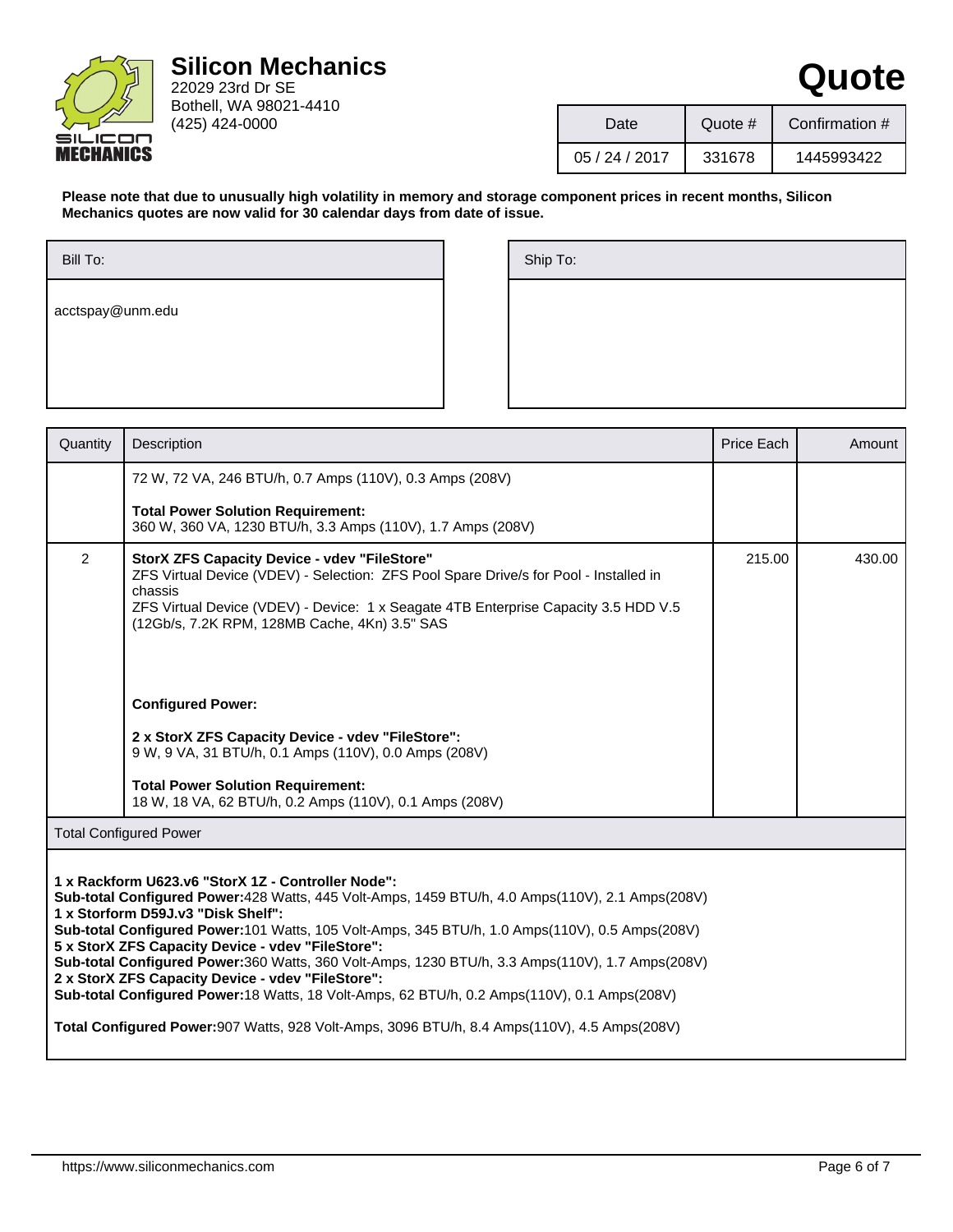

| Date           | Quote $#$ | Confirmation # |
|----------------|-----------|----------------|
| 05 / 24 / 2017 | 331678    | 1445993422     |

**Quote**

**Please note that due to unusually high volatility in memory and storage component prices in recent months, Silicon Mechanics quotes are now valid for 30 calendar days from date of issue.**

| Ship To: |  |  |  |
|----------|--|--|--|
|          |  |  |  |
|          |  |  |  |
|          |  |  |  |

| Quantity       | Description                                                                                                                                                                                                                                                                                                                                                                                                                                                                                                                                                                                                   | Price Each | Amount |  |  |
|----------------|---------------------------------------------------------------------------------------------------------------------------------------------------------------------------------------------------------------------------------------------------------------------------------------------------------------------------------------------------------------------------------------------------------------------------------------------------------------------------------------------------------------------------------------------------------------------------------------------------------------|------------|--------|--|--|
|                | 72 W, 72 VA, 246 BTU/h, 0.7 Amps (110V), 0.3 Amps (208V)                                                                                                                                                                                                                                                                                                                                                                                                                                                                                                                                                      |            |        |  |  |
|                | <b>Total Power Solution Requirement:</b><br>360 W, 360 VA, 1230 BTU/h, 3.3 Amps (110V), 1.7 Amps (208V)                                                                                                                                                                                                                                                                                                                                                                                                                                                                                                       |            |        |  |  |
| $\overline{2}$ | <b>StorX ZFS Capacity Device - vdev "FileStore"</b><br>ZFS Virtual Device (VDEV) - Selection: ZFS Pool Spare Drive/s for Pool - Installed in<br>chassis<br>ZFS Virtual Device (VDEV) - Device: 1 x Seagate 4TB Enterprise Capacity 3.5 HDD V.5<br>(12Gb/s, 7.2K RPM, 128MB Cache, 4Kn) 3.5" SAS                                                                                                                                                                                                                                                                                                               | 215.00     | 430.00 |  |  |
|                | <b>Configured Power:</b>                                                                                                                                                                                                                                                                                                                                                                                                                                                                                                                                                                                      |            |        |  |  |
|                | 2 x StorX ZFS Capacity Device - vdev "FileStore":<br>9 W, 9 VA, 31 BTU/h, 0.1 Amps (110V), 0.0 Amps (208V)                                                                                                                                                                                                                                                                                                                                                                                                                                                                                                    |            |        |  |  |
|                | <b>Total Power Solution Requirement:</b><br>18 W, 18 VA, 62 BTU/h, 0.2 Amps (110V), 0.1 Amps (208V)                                                                                                                                                                                                                                                                                                                                                                                                                                                                                                           |            |        |  |  |
|                | <b>Total Configured Power</b>                                                                                                                                                                                                                                                                                                                                                                                                                                                                                                                                                                                 |            |        |  |  |
|                | 1 x Rackform U623.v6 "StorX 1Z - Controller Node":<br>Sub-total Configured Power: 428 Watts, 445 Volt-Amps, 1459 BTU/h, 4.0 Amps(110V), 2.1 Amps(208V)<br>1 x Storform D59J.v3 "Disk Shelf":<br>Sub-total Configured Power: 101 Watts, 105 Volt-Amps, 345 BTU/h, 1.0 Amps(110V), 0.5 Amps(208V)<br>5 x StorX ZFS Capacity Device - vdev "FileStore":<br>Sub-total Configured Power: 360 Watts, 360 Volt-Amps, 1230 BTU/h, 3.3 Amps(110V), 1.7 Amps(208V)<br>2 x StorX ZFS Capacity Device - vdev "FileStore":<br>Sub-total Configured Power: 18 Watts, 18 Volt-Amps, 62 BTU/h, 0.2 Amps(110V), 0.1 Amps(208V) |            |        |  |  |
|                | Total Configured Power: 907 Watts, 928 Volt-Amps, 3096 BTU/h, 8.4 Amps(110V), 4.5 Amps(208V)                                                                                                                                                                                                                                                                                                                                                                                                                                                                                                                  |            |        |  |  |